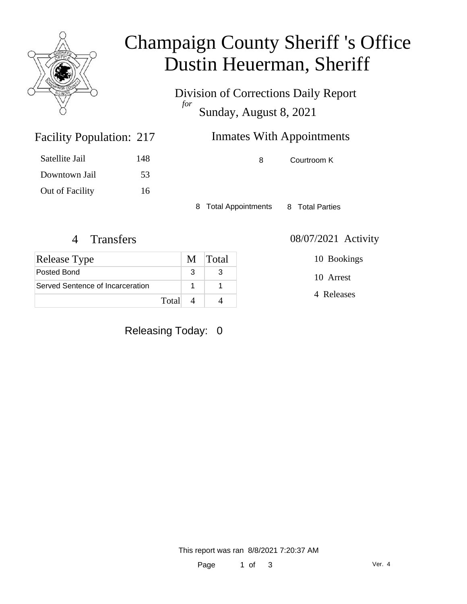

## Champaign County Sheriff 's Office Dustin Heuerman, Sheriff

Division of Corrections Daily Report *for* Sunday, August 8, 2021

| 217 | <b>Inmates With Appointments</b> |
|-----|----------------------------------|
|     |                                  |

| Satellite Jail  | 148 |
|-----------------|-----|
| Downtown Jail   | 53  |
| Out of Facility | 16  |

Facility Population: 217

8 Courtroom K

8 Total Appointments 8 Total Parties

| <b>Release Type</b>              |  | M Total |
|----------------------------------|--|---------|
| Posted Bond                      |  |         |
| Served Sentence of Incarceration |  |         |
| Total                            |  |         |

Releasing Today: 0

4 Transfers 08/07/2021 Activity

10 Bookings

10 Arrest

4 Releases

This report was ran 8/8/2021 7:20:37 AM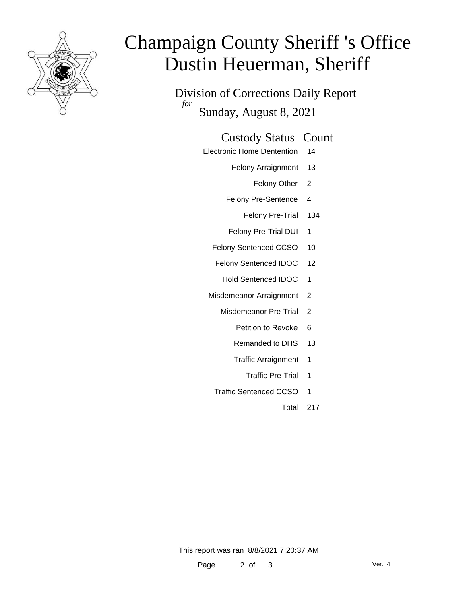

# Champaign County Sheriff 's Office Dustin Heuerman, Sheriff

Division of Corrections Daily Report *for* Sunday, August 8, 2021

### Custody Status Count

- Electronic Home Dentention 14
	- Felony Arraignment 13
		- Felony Other 2
	- Felony Pre-Sentence 4
		- Felony Pre-Trial 134
	- Felony Pre-Trial DUI 1
	- Felony Sentenced CCSO 10
	- Felony Sentenced IDOC 12
		- Hold Sentenced IDOC 1
	- Misdemeanor Arraignment 2
		- Misdemeanor Pre-Trial 2
			- Petition to Revoke 6
			- Remanded to DHS 13
			- Traffic Arraignment 1
				- Traffic Pre-Trial 1
		- Traffic Sentenced CCSO 1
			- Total 217

This report was ran 8/8/2021 7:20:37 AM